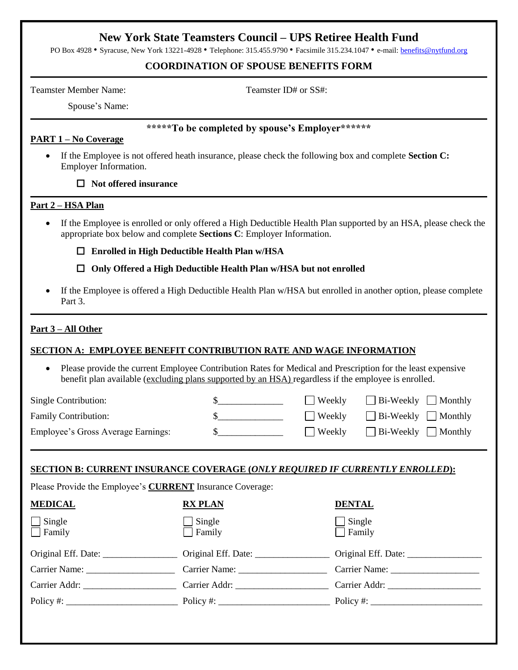# **New York State Teamsters Council – UPS Retiree Health Fund**

PO Box 4928 • Syracuse, New York 13221-4928 • Telephone: 315.455.9790 • Facsimile 315.234.1047 • e-mail[: benefits@nytfund.org](mailto:benefits@nytfund.org)

### **COORDINATION OF SPOUSE BENEFITS FORM**

Teamster Member Name: Teamster ID# or SS#:

Spouse's Name:

#### **\*\*\*\*\*To be completed by spouse's Employer\*\*\*\*\*\***

## **PART 1 – No Coverage**

 If the Employee is not offered heath insurance, please check the following box and complete **Section C:**  Employer Information.

#### □ **Not offered insurance**

## **Part 2 – HSA Plan**

 If the Employee is enrolled or only offered a High Deductible Health Plan supported by an HSA, please check the appropriate box below and complete **Sections C**: Employer Information.

□ **Enrolled in High Deductible Health Plan w/HSA**

□ **Only Offered a High Deductible Health Plan w/HSA but not enrolled**

 If the Employee is offered a High Deductible Health Plan w/HSA but enrolled in another option, please complete Part 3.

## **Part 3 – All Other**

## **SECTION A: EMPLOYEE BENEFIT CONTRIBUTION RATE AND WAGE INFORMATION**

 Please provide the current Employee Contribution Rates for Medical and Prescription for the least expensive benefit plan available (excluding plans supported by an HSA) regardless if the employee is enrolled.

| Single Contribution:               | Weekly        | $\Box$ Bi-Weekly $\Box$ Monthly |
|------------------------------------|---------------|---------------------------------|
| <b>Family Contribution:</b>        | $\Box$ Weekly | $\Box$ Bi-Weekly $\Box$ Monthly |
| Employee's Gross Average Earnings: | ∣ Weekly      | $\Box$ Bi-Weekly $\Box$ Monthly |

## **SECTION B: CURRENT INSURANCE COVERAGE (***ONLY REQUIRED IF CURRENTLY ENROLLED***):**

Please Provide the Employee's **CURRENT** Insurance Coverage:

| <b>MEDICAL</b>                 | <b>RX PLAN</b>                                                                                 | <b>DENTAL</b>        |
|--------------------------------|------------------------------------------------------------------------------------------------|----------------------|
| $\Box$ Single<br>$\Box$ Family | $\Box$ Single Family                                                                           | □ Single<br>□ Family |
|                                |                                                                                                |                      |
|                                | Carrier Name: Carrier Name: Carrier Name:                                                      |                      |
|                                | Carrier Addr: Carrier Addr: Carrier Addr: Carrier Addr: Carrier Addr:                          |                      |
|                                | Policy #: $\qquad \qquad \qquad$ Policy #: $\qquad \qquad$ Policy #: $\qquad \qquad$ Policy #: |                      |
|                                |                                                                                                |                      |